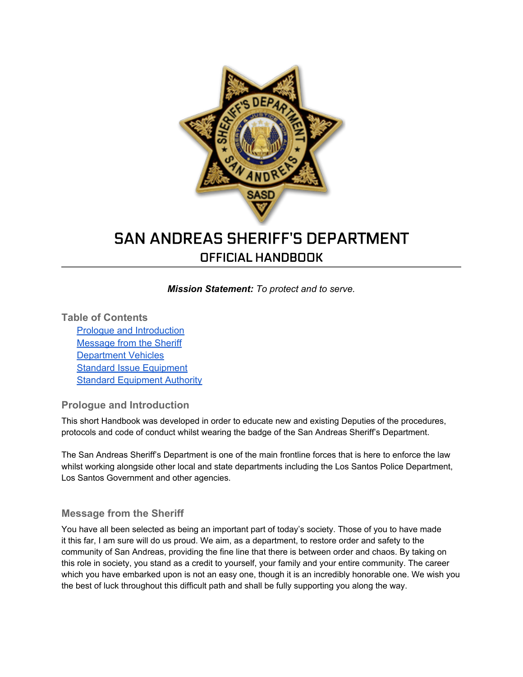

# SAN ANDREAS SHERIFF'S DEPARTMENT OFFICIAL HANDBOOK

*Mission Statement: To protect and to serve.*

**Table of Contents**

Prologue and Introduction Message from the Sheriff [Department](#page-1-0) [Vehicles](#page-1-0) [Standard](#page-2-0) [Issue](#page-2-0) [Equipment](#page-2-0) **[Standard](#page-2-0) [Equipment](#page-2-0) [Authority](#page-2-0)** 

## **Prologue and Introduction**

This short Handbook was developed in order to educate new and existing Deputies of the procedures, protocols and code of conduct whilst wearing the badge of the San Andreas Sheriff's Department.

The San Andreas Sheriff's Department is one of the main frontline forces that is here to enforce the law whilst working alongside other local and state departments including the Los Santos Police Department, Los Santos Government and other agencies.

## **Message from the Sheriff**

You have all been selected as being an important part of today's society. Those of you to have made it this far, I am sure will do us proud. We aim, as a department, to restore order and safety to the community of San Andreas, providing the fine line that there is between order and chaos. By taking on this role in society, you stand as a credit to yourself, your family and your entire community. The career which you have embarked upon is not an easy one, though it is an incredibly honorable one. We wish you the best of luck throughout this difficult path and shall be fully supporting you along the way.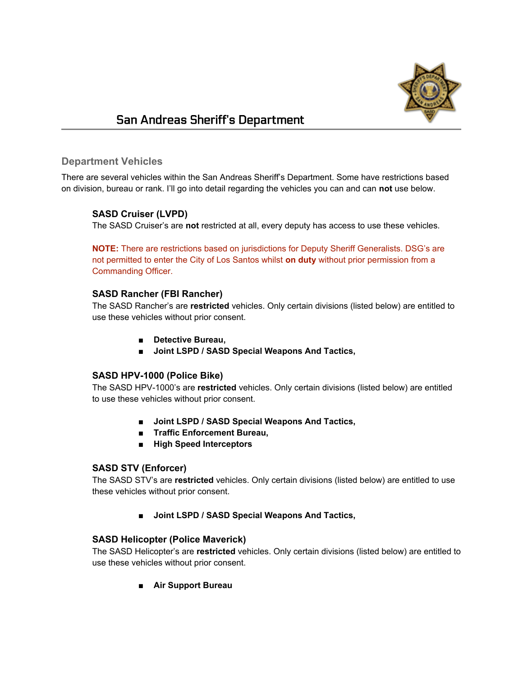

# <span id="page-1-0"></span>San Andreas Sheriff's Department

#### **Department Vehicles**

There are several vehicles within the San Andreas Sheriff's Department. Some have restrictions based on division, bureau or rank. I'll go into detail regarding the vehicles you can and can **not** use below.

#### **SASD Cruiser (LVPD)**

The SASD Cruiser's are **not** restricted at all, every deputy has access to use these vehicles.

**NOTE:** There are restrictions based on jurisdictions for Deputy Sheriff Generalists. DSG's are not permitted to enter the City of Los Santos whilst **on duty** without prior permission from a Commanding Officer.

#### **SASD Rancher (FBI Rancher)**

The SASD Rancher's are **restricted** vehicles. Only certain divisions (listed below) are entitled to use these vehicles without prior consent.

- **■ Detective Bureau,**
- **■ Joint LSPD / SASD Special Weapons And Tactics,**

#### **SASD HPV-1000 (Police Bike)**

The SASD HPV-1000's are **restricted** vehicles. Only certain divisions (listed below) are entitled to use these vehicles without prior consent.

- **■ Joint LSPD / SASD Special Weapons And Tactics,**
- **■ Traffic Enforcement Bureau,**
- **■ High Speed Interceptors**

#### **SASD STV (Enforcer)**

The SASD STV's are **restricted** vehicles. Only certain divisions (listed below) are entitled to use these vehicles without prior consent.

**■ Joint LSPD / SASD Special Weapons And Tactics,**

#### **SASD Helicopter (Police Maverick)**

The SASD Helicopter's are **restricted** vehicles. Only certain divisions (listed below) are entitled to use these vehicles without prior consent.

**■ Air Support Bureau**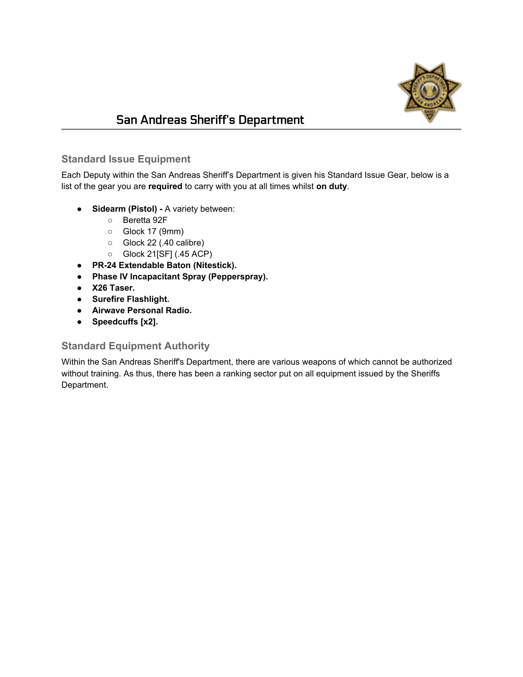

# <span id="page-2-0"></span>San Andreas Sheriff's Department

## **Standard Issue Equipment**

Each Deputy within the San Andreas Sheriff's Department is given his Standard Issue Gear, below is a list of the gear you are **required** to carry with you at all times whilst **on duty**.

- **● Sidearm (Pistol)** A variety between:
	- **○** Beretta 92F
	- **○** Glock 17 (9mm)
	- **○** Glock 22 (.40 calibre)
	- **○** Glock 21[SF] (.45 ACP)
- **● PR-24 Extendable Baton (Nitestick).**
- **● Phase IV Incapacitant Spray (Pepperspray).**
- **● X26 Taser.**
- **● Surefire Flashlight.**
- **● Airwave Personal Radio.**
- **● Speedcuffs [x2].**

#### **Standard Equipment Authority**

Within the San Andreas Sheriff's Department, there are various weapons of which cannot be authorized without training. As thus, there has been a ranking sector put on all equipment issued by the Sheriffs Department.